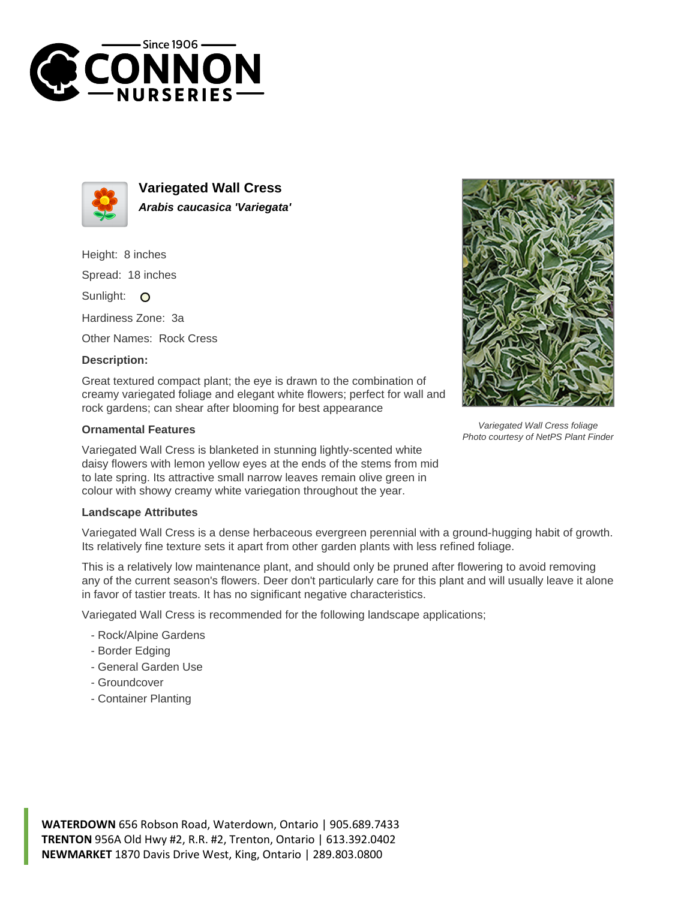



**Variegated Wall Cress Arabis caucasica 'Variegata'**

Height: 8 inches

Spread: 18 inches

Sunlight: O

Hardiness Zone: 3a

Other Names: Rock Cress

## **Description:**

Great textured compact plant; the eye is drawn to the combination of creamy variegated foliage and elegant white flowers; perfect for wall and rock gardens; can shear after blooming for best appearance

## **Ornamental Features**

Variegated Wall Cress is blanketed in stunning lightly-scented white daisy flowers with lemon yellow eyes at the ends of the stems from mid to late spring. Its attractive small narrow leaves remain olive green in colour with showy creamy white variegation throughout the year.

## **Landscape Attributes**

Variegated Wall Cress is a dense herbaceous evergreen perennial with a ground-hugging habit of growth. Its relatively fine texture sets it apart from other garden plants with less refined foliage.

This is a relatively low maintenance plant, and should only be pruned after flowering to avoid removing any of the current season's flowers. Deer don't particularly care for this plant and will usually leave it alone in favor of tastier treats. It has no significant negative characteristics.

Variegated Wall Cress is recommended for the following landscape applications;

- Rock/Alpine Gardens
- Border Edging
- General Garden Use
- Groundcover
- Container Planting



Variegated Wall Cress foliage Photo courtesy of NetPS Plant Finder